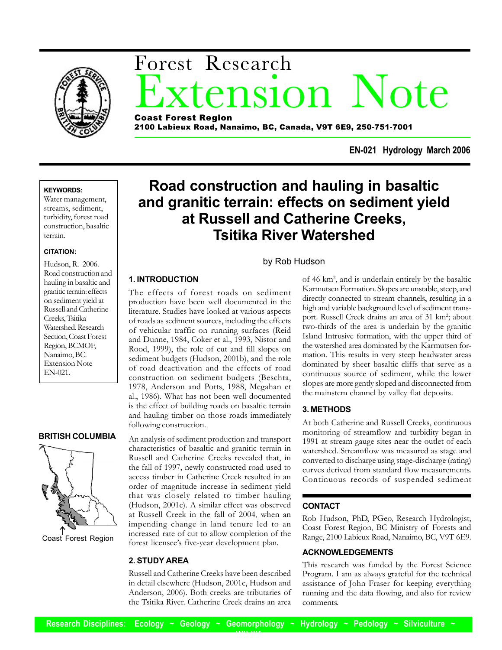

# xtension Note Forest Research Coast Forest Region

2100 Labieux Road, Nanaimo, BC, Canada, V9T 6E9, 250-751-7001

**EN-021 Hydrology March 2006**

#### **KEYWORDS:**

Water management, streams, sediment, turbidity, forest road construction, basaltic terrain.

#### **CITATION:**

Hudson, R. 2006. Road construction and hauling in basaltic and granitic terrain: effects on sediment yield at Russell and Catherine Creeks, Tsitika Watershed. Research Section, Coast Forest Region, BCMOF, Nanaimo, BC. Extension Note EN-021.

## **BRITISH COLUMBIA**



Coast Forest Region

# **Road construction and hauling in basaltic and granitic terrain: effects on sediment yield at Russell and Catherine Creeks, Tsitika River Watershed**

# **1. INTRODUCTION**

The effects of forest roads on sediment production have been well documented in the literature. Studies have looked at various aspects of roads as sediment sources, including the effects of vehicular traffic on running surfaces (Reid and Dunne, 1984, Coker et al., 1993, Nistor and Rood, 1999), the role of cut and fill slopes on sediment budgets (Hudson, 2001b), and the role of road deactivation and the effects of road construction on sediment budgets (Beschta, 1978, Anderson and Potts, 1988, Megahan et al., 1986). What has not been well documented is the effect of building roads on basaltic terrain and hauling timber on those roads immediately following construction.

An analysis of sediment production and transport characteristics of basaltic and granitic terrain in Russell and Catherine Creeks revealed that, in the fall of 1997, newly constructed road used to access timber in Catherine Creek resulted in an order of magnitude increase in sediment yield that was closely related to timber hauling (Hudson, 2001c). A similar effect was observed at Russell Creek in the fall of 2004, when an impending change in land tenure led to an increased rate of cut to allow completion of the forest licensee's five-year development plan.

# **2. STUDY AREA**

Russell and Catherine Creeks have been described in detail elsewhere (Hudson, 2001c, Hudson and Anderson, 2006). Both creeks are tributaries of the Tsitika River. Catherine Creek drains an area

# by Rob Hudson

of 46 km2 , and is underlain entirely by the basaltic Karmutsen Formation. Slopes are unstable, steep, and directly connected to stream channels, resulting in a high and variable background level of sediment transport. Russell Creek drains an area of 31 km<sup>2</sup>; about two-thirds of the area is underlain by the granitic Island Intrusive formation, with the upper third of the watershed area dominated by the Karmutsen formation. This results in very steep headwater areas dominated by sheer basaltic cliffs that serve as a continuous source of sediment, while the lower slopes are more gently sloped and disconnected from the mainstem channel by valley flat deposits.

## **3. METHODS**

At both Catherine and Russell Creeks, continuous monitoring of streamflow and turbidity began in 1991 at stream gauge sites near the outlet of each watershed. Streamflow was measured as stage and converted to discharge using stage-discharge (rating) curves derived from standard flow measurements. Continuous records of suspended sediment

# **CONTACT**

Rob Hudson, PhD, PGeo, Research Hydrologist, Coast Forest Region, BC Ministry of Forests and Range, 2100 Labieux Road, Nanaimo, BC, V9T 6E9.

## **ACKNOWLEDGEMENTS**

This research was funded by the Forest Science Program. I am as always grateful for the technical assistance of John Fraser for keeping everything running and the data flowing, and also for review comments.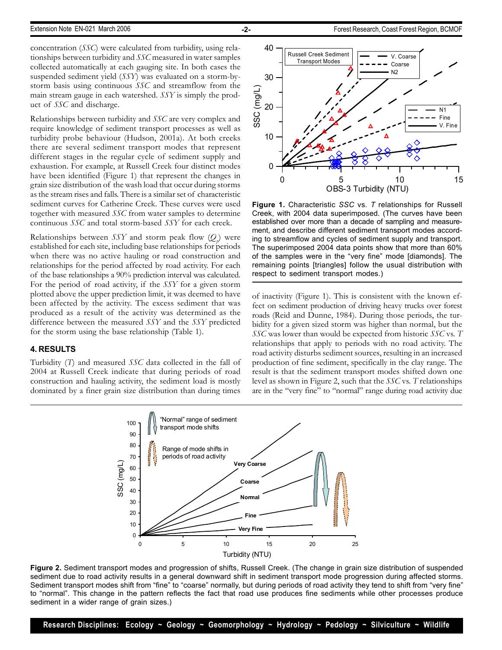#### Extension Note EN-021 March 2006 **-2-** Forest Research, Coast Forest Region, BCMOF

concentration (*SSC*) were calculated from turbidity, using relationships between turbidity and *SSC* measured in water samples collected automatically at each gauging site. In both cases the suspended sediment yield (*SSY*) was evaluated on a storm-bystorm basis using continuous *SSC* and streamflow from the main stream gauge in each watershed. *SSY* is simply the product of *SSC* and discharge.

Relationships between turbidity and *SSC* are very complex and require knowledge of sediment transport processes as well as turbidity probe behaviour (Hudson, 2001a). At both creeks there are several sediment transport modes that represent different stages in the regular cycle of sediment supply and exhaustion. For example, at Russell Creek four distinct modes have been identified (Figure 1) that represent the changes in grain size distribution of the wash load that occur during storms as the stream rises and falls. There is a similar set of characteristic sediment curves for Catherine Creek. These curves were used together with measured *SSC* from water samples to determine continuous *SSC* and total storm-based *SSY* for each creek.

Relationships between *SSY* and storm peak flow (*Qp* ) were established for each site, including base relationships for periods when there was no active hauling or road construction and relationships for the period affected by road activity. For each of the base relationships a 90% prediction interval was calculated. For the period of road activity, if the *SSY* for a given storm plotted above the upper prediction limit, it was deemed to have been affected by the activity. The excess sediment that was produced as a result of the activity was determined as the difference between the measured *SSY* and the *SSY* predicted for the storm using the base relationship (Table 1).

#### **4. RESULTS**

Turbidity (*T*) and measured *SSC* data collected in the fall of 2004 at Russell Creek indicate that during periods of road construction and hauling activity, the sediment load is mostly dominated by a finer grain size distribution than during times



**Figure 1.** Characteristic *SSC* vs. *T* relationships for Russell Creek, with 2004 data superimposed. (The curves have been established over more than a decade of sampling and measurement, and describe different sediment transport modes according to streamflow and cycles of sediment supply and transport. The superimposed 2004 data points show that more than 60% of the samples were in the "very fine" mode [diamonds]. The remaining points [triangles] follow the usual distribution with respect to sediment transport modes.)

of inactivity (Figure 1). This is consistent with the known effect on sediment production of driving heavy trucks over forest roads (Reid and Dunne, 1984). During those periods, the turbidity for a given sized storm was higher than normal, but the *SSC* was lower than would be expected from historic *SSC* vs. *T* relationships that apply to periods with no road activity. The road activity disturbs sediment sources, resulting in an increased production of fine sediment, specifically in the clay range. The result is that the sediment transport modes shifted down one level as shown in Figure 2, such that the *SSC* vs. *T* relationships are in the "very fine" to "normal" range during road activity due



**Figure 2.** Sediment transport modes and progression of shifts, Russell Creek. (The change in grain size distribution of suspended sediment due to road activity results in a general downward shift in sediment transport mode progression during affected storms. Sediment transport modes shift from "fine" to "coarse" normally, but during periods of road activity they tend to shift from "very fine" to "normal". This change in the pattern reflects the fact that road use produces fine sediments while other processes produce sediment in a wider range of grain sizes.)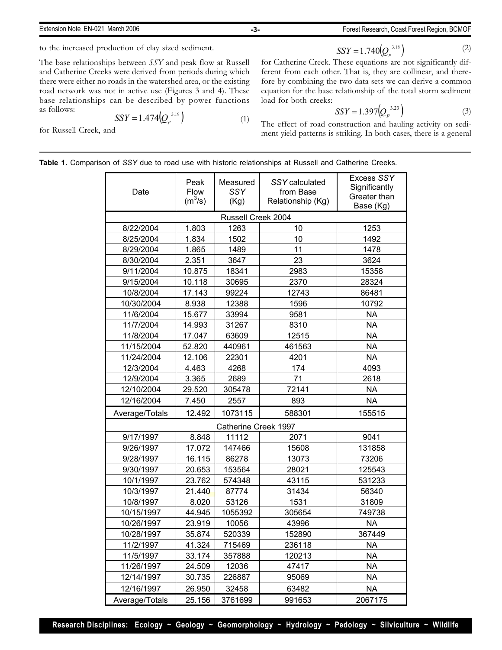road network was not in active use (Figures 3 and 4). These base relationships can be described by power functions

$$
SSY = 1.474 (Q_p^{3.19})
$$

for Russell Creek, and

as follows:

there were either no roads in the watershed area, or the existing

to the increased production of clay sized sediment.

for Catherine Creek. These equations are not significantly different from each other. That is, they are collinear, and therefore by combining the two data sets we can derive a common equation for the base relationship of the total storm sediment load for both creeks:

 $SSY = 1.740 \left(Q_p^{3.18}\right)$ 

$$
SSY = 1.397(Q_p^{3.23})
$$
 (3)

 $SSY = 1.474 (Q_p^{3.19})$  (1) The effect of road construction and hauling activity on sediment yield patterns is striking. In both cases, there is a general

| <b>Table 1.</b> Comparison of SSY due to road use with historic relationships at Russell and Catherine Creeks. |
|----------------------------------------------------------------------------------------------------------------|
|----------------------------------------------------------------------------------------------------------------|

| Date                 | Peak<br>Flow<br>$(m^3/s)$ | Measured<br>SSY<br>(Kg) | SSY calculated<br>from Base<br>Relationship (Kg) | Excess SSY<br>Significantly<br>Greater than<br>Base (Kg) |  |  |
|----------------------|---------------------------|-------------------------|--------------------------------------------------|----------------------------------------------------------|--|--|
| Russell Creek 2004   |                           |                         |                                                  |                                                          |  |  |
| 8/22/2004            | 1.803                     | 1263                    | 10                                               | 1253                                                     |  |  |
| 8/25/2004            | 1.834                     | 1502                    | 10                                               | 1492                                                     |  |  |
| 8/29/2004            | 1.865                     | 1489                    | 11                                               | 1478                                                     |  |  |
| 8/30/2004            | 2.351                     | 3647                    | 23                                               | 3624                                                     |  |  |
| 9/11/2004            | 10.875                    | 18341                   | 2983                                             | 15358                                                    |  |  |
| 9/15/2004            | 10.118                    | 30695                   | 2370                                             | 28324                                                    |  |  |
| 10/8/2004            | 17.143                    | 99224                   | 12743                                            | 86481                                                    |  |  |
| 10/30/2004           | 8.938                     | 12388                   | 1596                                             | 10792                                                    |  |  |
| 11/6/2004            | 15.677                    | 33994                   | 9581                                             | <b>NA</b>                                                |  |  |
| 11/7/2004            | 14.993                    | 31267                   | 8310                                             | <b>NA</b>                                                |  |  |
| 11/8/2004            | 17.047                    | 63609                   | 12515                                            | <b>NA</b>                                                |  |  |
| 11/15/2004           | 52.820                    | 440961                  | 461563                                           | <b>NA</b>                                                |  |  |
| 11/24/2004           | 12.106                    | 22301                   | 4201                                             | <b>NA</b>                                                |  |  |
| 12/3/2004            | 4.463                     | 4268                    | 174                                              | 4093                                                     |  |  |
| 12/9/2004            | 3.365                     | 2689                    | 71                                               | 2618                                                     |  |  |
| 12/10/2004           | 29.520                    | 305478                  | 72141                                            | <b>NA</b>                                                |  |  |
| 12/16/2004           | 7.450                     | 2557                    | 893                                              | <b>NA</b>                                                |  |  |
| Average/Totals       | 12.492                    | 1073115                 | 588301                                           | 155515                                                   |  |  |
| Catherine Creek 1997 |                           |                         |                                                  |                                                          |  |  |
| 9/17/1997            | 8.848                     | 11112                   | 2071                                             | 9041                                                     |  |  |
| 9/26/1997            | 17.072                    | 147466                  | 15608                                            | 131858                                                   |  |  |
| 9/28/1997            | 16.115                    | 86278                   | 13073                                            | 73206                                                    |  |  |
| 9/30/1997            | 20.653                    | 153564                  | 28021                                            | 125543                                                   |  |  |
| 10/1/1997            | 23.762                    | 574348                  | 43115                                            | 531233                                                   |  |  |
| 10/3/1997            | 21.440                    | 87774                   | 31434                                            | 56340                                                    |  |  |
| 10/8/1997            | 8.020                     | 53126                   | 1531                                             | 31809                                                    |  |  |
| 10/15/1997           | 44.945                    | 1055392                 | 305654                                           | 749738                                                   |  |  |
| 10/26/1997           | 23.919                    | 10056                   | 43996                                            | <b>NA</b>                                                |  |  |
| 10/28/1997           | 35.874                    | 520339                  | 152890                                           | 367449                                                   |  |  |
| 11/2/1997            | 41.324                    | 715469                  | 236118                                           | <b>NA</b>                                                |  |  |
| 11/5/1997            | 33.174                    | 357888                  | 120213                                           | <b>NA</b>                                                |  |  |
| 11/26/1997           | 24.509                    | 12036                   | 47417                                            | NA                                                       |  |  |
| 12/14/1997           | 30.735                    | 226887                  | 95069                                            | <b>NA</b>                                                |  |  |
| 12/16/1997           | 26.950                    | 32458                   | 63482                                            | NA                                                       |  |  |
| Average/Totals       | 25.156                    | 3761699                 | 991653                                           | 2067175                                                  |  |  |

(2)

(1)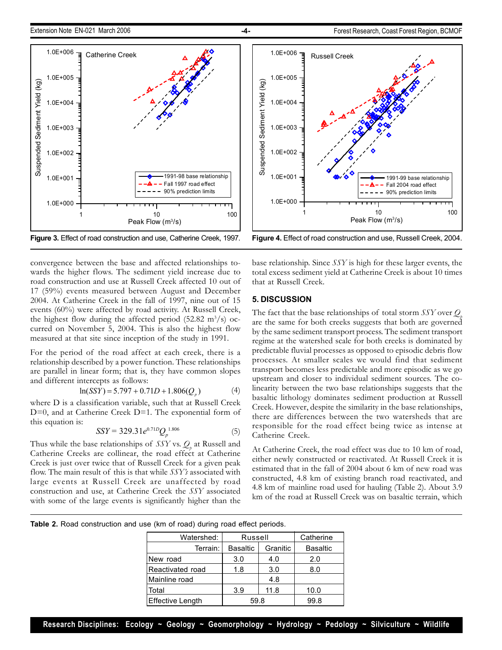

convergence between the base and affected relationships towards the higher flows. The sediment yield increase due to road construction and use at Russell Creek affected 10 out of 17 (59%) events measured between August and December 2004. At Catherine Creek in the fall of 1997, nine out of 15 events (60%) were affected by road activity. At Russell Creek, the highest flow during the affected period  $(52.82 \text{ m}^3/\text{s})$  occurred on November 5, 2004. This is also the highest flow measured at that site since inception of the study in 1991.

For the period of the road affect at each creek, there is a relationship described by a power function. These relationships are parallel in linear form; that is, they have common slopes and different intercepts as follows:

$$
\ln(SSY) = 5.797 + 0.71D + 1.806(Q_p)
$$
 (4)

where D is a classification variable, such that at Russell Creek D=0, and at Catherine Creek D=1. The exponential form of this equation is:

$$
SSY = 329.31e^{0.71D}Q_p^{1.806}
$$
 (5)

Thus while the base relationships of *SSY* vs.  $Q_p$  at Russell and Catherine Creeks are collinear, the road effect at Catherine Creek is just over twice that of Russell Creek for a given peak flow. The main result of this is that while *SSY's* associated with large events at Russell Creek are unaffected by road construction and use, at Catherine Creek the *SSY* associated with some of the large events is significantly higher than the base relationship. Since *SSY* is high for these larger events, the total excess sediment yield at Catherine Creek is about 10 times that at Russell Creek.

#### **5. DISCUSSION**

The fact that the base relationships of total storm  $\mathcal{S}Y$  over  $\mathcal{Q}_1$ are the same for both creeks suggests that both are governed by the same sediment transport process. The sediment transport regime at the watershed scale for both creeks is dominated by predictable fluvial processes as opposed to episodic debris flow processes. At smaller scales we would find that sediment transport becomes less predictable and more episodic as we go upstream and closer to individual sediment sources. The colinearity between the two base relationships suggests that the basaltic lithology dominates sediment production at Russell Creek. However, despite the similarity in the base relationships, there are differences between the two watersheds that are responsible for the road effect being twice as intense at Catherine Creek.

At Catherine Creek, the road effect was due to 10 km of road, either newly constructed or reactivated. At Russell Creek it is estimated that in the fall of 2004 about 6 km of new road was constructed, 4.8 km of existing branch road reactivated, and 4.8 km of mainline road used for hauling (Table 2). About 3.9 km of the road at Russell Creek was on basaltic terrain, which

| Table 2. Road construction and use (km of road) during road effect periods. |  |  |  |  |
|-----------------------------------------------------------------------------|--|--|--|--|
|-----------------------------------------------------------------------------|--|--|--|--|

| Watershed:       | Russell         | Catherine |                 |
|------------------|-----------------|-----------|-----------------|
| Terrain:         | <b>Basaltic</b> | Granitic  | <b>Basaltic</b> |
| New road         | 3.0             | 4.0       | 2.0             |
| Reactivated road | 1.8             | 3.0       | 8.0             |
| Mainline road    |                 | 4.8       |                 |
| Total            | 3.9             | 11.8      | 10.0            |
| Effective Length | 59.8            |           | 99.8            |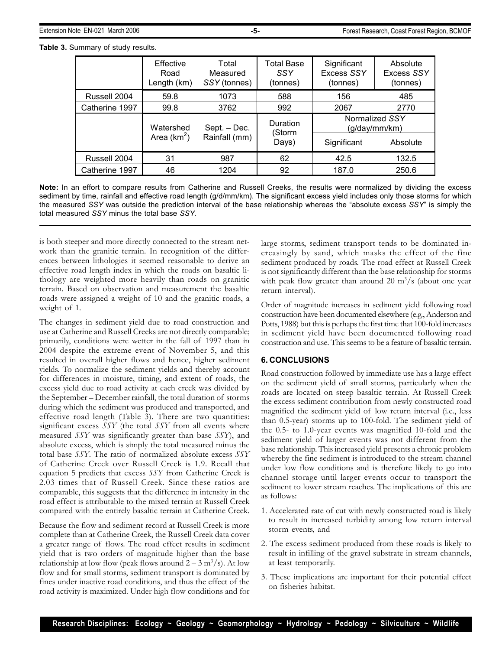**Table 3.** Summary of study results.

|                | Effective<br>Road<br>Length (km) | Total<br>Measured<br>SSY (tonnes) | Total Base<br>SSY<br>(tonnes) | Significant<br><b>Excess SSY</b><br>(tonnes) | Absolute<br><b>Excess SSY</b><br>(tonnes) |
|----------------|----------------------------------|-----------------------------------|-------------------------------|----------------------------------------------|-------------------------------------------|
| Russell 2004   | 59.8                             | 1073                              | 588                           | 156                                          | 485                                       |
| Catherine 1997 | 99.8                             | 3762                              | 992                           | 2067                                         | 2770                                      |
|                | Watershed                        | Sept. - Dec.                      | <b>Duration</b><br>(Storm     | Normalized SSY<br>(g/day/mm/km)              |                                           |
|                | Area $(km^2)$                    | Rainfall (mm)                     | Days)                         | Significant                                  | Absolute                                  |
| Russell 2004   | 31                               | 987                               | 62                            | 42.5                                         | 132.5                                     |
| Catherine 1997 | 46                               | 1204                              | 92                            | 187.0                                        | 250.6                                     |

**Note:** In an effort to compare results from Catherine and Russell Creeks, the results were normalized by dividing the excess sediment by time, rainfall and effective road length (g/d/mm/km). The significant excess yield includes only those storms for which the measured *SSY* was outside the prediction interval of the base relationship whereas the "absolute excess *SSY*" is simply the total measured *SSY* minus the total base *SSY*.

is both steeper and more directly connected to the stream network than the granitic terrain. In recognition of the differences between lithologies it seemed reasonable to derive an effective road length index in which the roads on basaltic lithology are weighted more heavily than roads on granitic terrain. Based on observation and measurement the basaltic roads were assigned a weight of 10 and the granitic roads, a weight of 1.

The changes in sediment yield due to road construction and use at Catherine and Russell Creeks are not directly comparable; primarily, conditions were wetter in the fall of 1997 than in 2004 despite the extreme event of November 5, and this resulted in overall higher flows and hence, higher sediment yields. To normalize the sediment yields and thereby account for differences in moisture, timing, and extent of roads, the excess yield due to road activity at each creek was divided by the September – December rainfall, the total duration of storms during which the sediment was produced and transported, and effective road length (Table 3). There are two quantities: significant excess *SSY* (the total *SSY* from all events where measured *SSY* was significantly greater than base *SSY*), and absolute excess, which is simply the total measured minus the total base *SSY*. The ratio of normalized absolute excess *SSY* of Catherine Creek over Russell Creek is 1.9. Recall that equation 5 predicts that excess *SSY* from Catherine Creek is 2.03 times that of Russell Creek. Since these ratios are comparable, this suggests that the difference in intensity in the road effect is attributable to the mixed terrain at Russell Creek compared with the entirely basaltic terrain at Catherine Creek.

Because the flow and sediment record at Russell Creek is more complete than at Catherine Creek, the Russell Creek data cover a greater range of flows. The road effect results in sediment yield that is two orders of magnitude higher than the base relationship at low flow (peak flows around  $2-3$  m<sup>3</sup>/s). At low flow and for small storms, sediment transport is dominated by fines under inactive road conditions, and thus the effect of the road activity is maximized. Under high flow conditions and for

large storms, sediment transport tends to be dominated increasingly by sand, which masks the effect of the fine sediment produced by roads. The road effect at Russell Creek is not significantly different than the base relationship for storms with peak flow greater than around 20  $\text{m}^3\text{/s}$  (about one year return interval).

Order of magnitude increases in sediment yield following road construction have been documented elsewhere (e.g., Anderson and Potts, 1988) but this is perhaps the first time that 100-fold increases in sediment yield have been documented following road construction and use. This seems to be a feature of basaltic terrain.

#### **6. CONCLUSIONS**

Road construction followed by immediate use has a large effect on the sediment yield of small storms, particularly when the roads are located on steep basaltic terrain. At Russell Creek the excess sediment contribution from newly constructed road magnified the sediment yield of low return interval (i.e., less than 0.5-year) storms up to 100-fold. The sediment yield of the 0.5- to 1.0-year events was magnified 10-fold and the sediment yield of larger events was not different from the base relationship. This increased yield presents a chronic problem whereby the fine sediment is introduced to the stream channel under low flow conditions and is therefore likely to go into channel storage until larger events occur to transport the sediment to lower stream reaches. The implications of this are as follows:

- 1. Accelerated rate of cut with newly constructed road is likely to result in increased turbidity among low return interval storm events, and
- 2. The excess sediment produced from these roads is likely to result in infilling of the gravel substrate in stream channels, at least temporarily.
- 3. These implications are important for their potential effect on fisheries habitat.